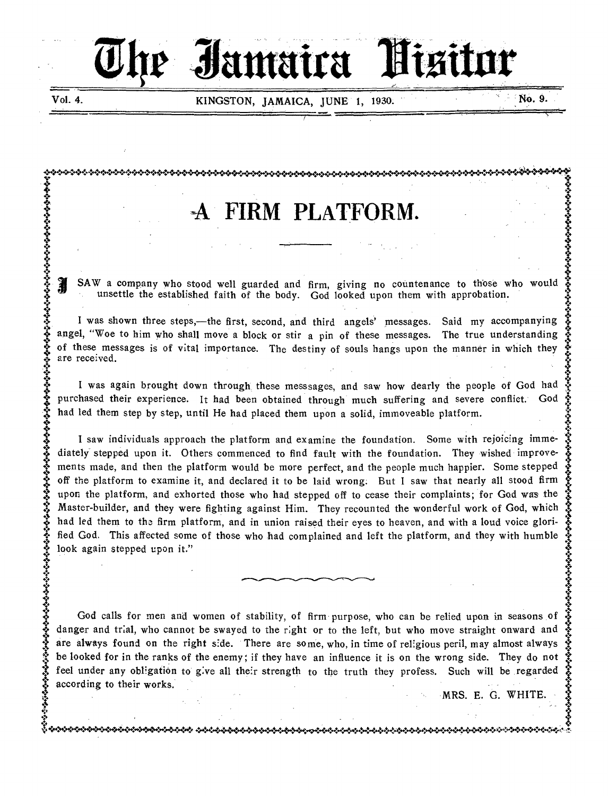# e Iamaica Pizitur

Vol. 4.

KINGSTON, JAMAICA, JUNE 1, 1930.

No. 9.

# **A FIRM PLATFORM.**

SAW a company who stood well guarded and firm, giving no countenance to those who would unsettle the established faith of the body. God looked upon them with approbation.

I was shown three steps,—the first, second, and third angels' messages. Said my accompanying angel, "Woe to him who shall move a block or stir a pin of these messages. The true understanding of these messages is of vital importance. The destiny of souls hangs upon the manner in which they are received.

I was again brought down through these messsages, and saw how dearly the people of God had purchased their experience. It had been obtained through much suffering and severe conflict. God had led them step by step, until He had placed them upon a solid, immoveable platform.

I saw individuals approach the platform and examine the foundation. Some with rejoicing immediately stepped upon it. Others commenced to find fault with the foundation. They wished improvements made, and then the platform would be more perfect, and the people much happier. Some stepped off the platform to examine it, and declared it to be laid wrong. But I saw that nearly all stood firm upon the platform, and exhorted those who had stepped off to cease their complaints; for God was the Master-builder, and they were fighting against Him. They recounted the wonderful work of God, which had led them to the firm platform, and in union raised their eyes to heaven, and with a loud voice glorified God. This affected some of those who had complained and left the platform, and they with humble look again stepped upon it."

God calls for men and women of stability, of firm purpose, who can be relied upon in seasons of danger and trial, who cannot be swayed to the right or to the left, but who move straight onward and are always found on the right side. There are some, who, in time of religious peril, may almost always be looked for in the ranks of the enemy; if they have an influence it is on the wrong side. They do not feel under any obligation to give all their strength to the truth they profess. Such will be regarded according to their works.

MRS. E. G. WHITE.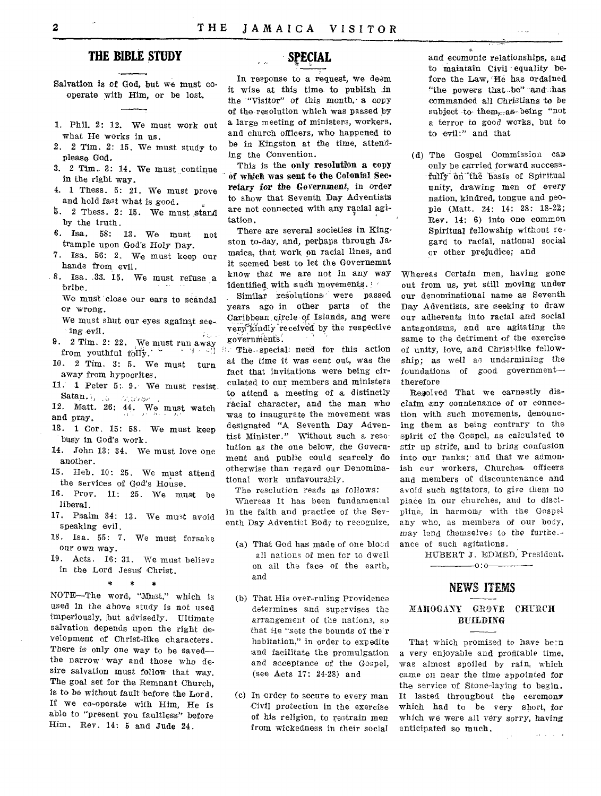#### **THE BIBLE STUDY**

**Salvation is of God, but we must cooperate with Him, or be lost.** 

- **1. Phil. 2: 12. We must work out what He works in us.**
- **2. 2 Tim. 2: 15. We must study to please God.**
- **3. 2 Tim.. 3: 14. We must continue in the right way.**
- **4. 1 Thess. 5: 21. We must prove and hold fast what is good.**
- **5. 2 Thess. 2: 15. We must stand by the truth.**
- **6. Isa. 58: 13.** We **must not trample upon God's Holy Day.**
- **7. Isa. 56: 2. We must keep our hands from evil.**
- **8. Isa. 33. 15. We must refuse a bribe. We must close our ears to scandal** 
	- **or wrong.**  We must shut our eyes against see-
	- **ing evil.**   $22.1$
- **9. 2 Tim. 2: 22. We must run** away from youthful folly.
- **10. 2 Tim. 3: 5. We must turn away from hypocrites,**
- **11. 1 Peter 5:. 9. We must resist,**   $\texttt{Satan.}$   $\mathbf{i}_{1,1}$   $\mathbf{j}_{2,0}$   $\mathbf{k}_{3,0}$
- **12. Matt. 26: 44. We must watch and pray.**
- 13. 1 **Cor. 15: 58. We must keep busy in God's work.**
- **14. John 13: 34. We must love one another.**
- **15. Heb. 10: 25. We must attend the services of God's House.**
- **16. Prov. 11: 25. We must be liberal.**
- **17. Psalm 34: 13. We** must avoid **speaking evil.**
- **18. Isa. 55: 7. We must forsake our own way.**
- **19. Acts. 16: 31. We** must believe in **the Lord Jesus Christ.**

**\* \* \*** 

**NOTE-The word, "Mnst," which is used in the above study is not used imperiously, but advisedly. Ultimate salvation depends upon the right development of Christ-like characters. There is only one way to be savedthe narrow way and those who desire salvation must follow that way. The goal set for the Remnant Church, is to be without fault before the Lord. If we co-operate with Him, He is able to "present you faultless" before Him. Rev. 14: 5 and Jude 24.** 

# **SPECIAL**

In **response to a request, we de**e**m it wise at this time to publish in the "Visitor" of this month, a copy of the resolution which was passed by a large meeting of ministers, workers, and church officers, who happened to be in Kingston at the time, attending the Convention.** 

**This is the** only resolution a copy • of which was sent to the Colonial Secretary for the Government, **in order to show that Seventh Day Adventists are not connected with any racial agitation.** 

**There are several societies in Kingston to-day, and, perhaps through Jamaica, that work on racial lines, and it seemed best to let the Governemnt know that we are not in any way**  identified with such movements.

Similar **resolutions were passed years ago in other parts of the Caribbean circle of Islands, and were**  very kindly received by the respective **goVernirients.** 

**The,, special: need for this action at the time it was sent out, was the**  fact that invitations were being cir**culated to our members and ministers to attend a meeting of a distinctly racial character, and the man who was to inaugurate the movement was designated "A Seventh Day Adventist Minister." Without such a resolution as the one below, the Government and public could scarcely do otherwise than regard our Denominational work unfavourably.** 

**The** resolution reads as follows:

Whereas It has been fundamental in the faith and practice of the Seventh Day Adventist Body **to recognize,** 

- (a) That God has made of one bload all nations of men for to dwell on all **the face** of the earth, and
- (b) That His over-ruling Providence determines and supervises **the**  arrangement of the nations, so that He "sets the bounds of the'r habitation," in order to expedite and facilitate the promulgation and acceptance of the Gospel, (see Acts 17: 24-28) and
- (c) In order to secure to every man Civil protection in the exercise of his religion, to restrain men from wickedness in their social

**and ecomonic relationships, and to maintain Civil - equality before the Law, He has ordained "the powers that be" and ,has commanded all Christians to he**  subject to them<sub>mas-being "not</sub> **a terror to good works, but to to evil:" and that** 

ik.

**(d) The Gospel Commission can only be carried forward** successfully on the basis of Spiritual **unity, drawing men of every nation, kindred, tongue and** people (Matt. 24: 14; 28; 18-22; Rev. 14: **6) into one common Spiritual fellowship without regard to racial, national social or other prejudice; and** 

**Whereas Certain men, having gone out from us, yet still moving under our denominational name as Seventh Day Adventists, are seeking to draw our adherents into racial and social antagonisms, and are agitating the same to** the detriment of the exercise of unity, love, and Christ-like fellowship; as well as undermining the foundations of good government**therefore** 

Resolved That we earnestly dis**claim any countenance of or** connection with such movements, denouncing them as being contrary to the spirit of the Gospel, as calculated to stir up strife, and to bring confusion into our ranks; and that we admonish our workers, Churches. officers and members of discountenance and avoid such agitators, to give them no place in **our churches, and to discipline, in harmony with the Gospel**  any who, as members of our body, may lend themselves **to** the furthe. ance of such agitations.

HUBERT J. EDMED, President.

 $-0:0-$ 

### **NEWS ITEMS**

#### MAHOGANY GROVE CHURCH BUILDING

That which promised to have been a very enjoyable and profitable time, was almost spoiled by rain, which came on near the time appointed for the service of Stone-laying to begin. It lasted throughout the ceremony which had to **be very short, for which we** were all very sorry, **having anticipated so much.**  and a state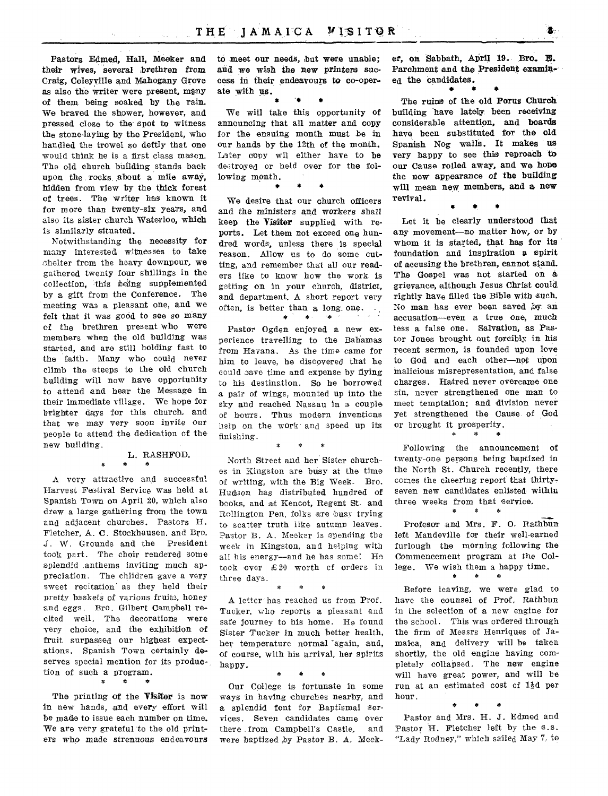**Pastors Edmed, Hall, Meeker and their wives, several brethren from Craig, Coleyville and Mahogany Grove as also the writer were present, many of them being soaked by the rain. We braved the shower, however, and pressed close to the-spot to witness the stone-laying by the President, who handled the trowel so deftly that one would think he is a first class mason. The old church building stands back upon the rocks**, **about a mile away, hidden from view by the thick forest of trees. The writer has known it for mare than twenty-six years, and also its sister church Waterloo, which is similarly situated.** 

**Notwithstanding the necessity for many interested witnesses to take 'shelter from the heavy downpour, we gathered twenty four shillings in the collection, -this lisciing supplemented by a gift from the Conference. The meeting was a pleasant one, and we felt that it was good to see so many of the brethren present who were members when the old building was started, and are still holding fast to the faith. Many who could never climb the steeps to the old church building will now have opportunity to attend and hear the Message in their immediate village. We hope for brighter days for this church, and that we may very soon invite our people to attend the dedication of the new building.** 

#### **L. RASHFOD.**   $\star$

**A very attractive and successful Harvest Festival Service was held at Spanish Town on April 20, which also drew a large gathering from the town and adjacent churches. Pastors H. Fletcher, A. C. Stockhausen. and Bra. J. W. Grounds and the President took part. The choir rendered some splendid anthems inviting much appreciation. The children gave a very sweet recitation**' **as they held their pretty baskets of various fruits, honey and eggs. Bro. Gilbert Campbell recited well. The decorations were very choice, and the exhibition of fruit surpassed our highest expectations. Spanish Town certainly deserves special mention for its production of such a program.** 

**The printing of the** Visitor is now in **new hands, and every effort will be made to issue each number on time. We are very grateful to the old printers who made strenuous endeavours** 

 $\mathbf{r}$ 

to meet our needs, but were unable; and we wish the new printers success in their endeavours to co-operate with us. \* "\* \*

**We will take this opportunity of announcing that all matter and copy for the ensuing month must be in our hands by the 12th of the month. Later copy wil either have to** be destroyed, or held **over for the fol-**

1.<br>\* \* \*

**lowing month.** 

**We desire that our church officers and the** *ministers* **and workers shall keep the Visitor supplied with reports. Let them not exceed one hundred words, unless there is special reason. Allow us to do some cutting, and remember that al) our readers like to know how the work is**  getting on in **your church, district, and department. A short report very**  often, is **better than a long, one. ,** 

**Pastor Ogden enjoyed a new experience travelling to the Bahamas from Havana. As the time came for him to** leave, **he discovered that he**  could save time **and expense by flying to his destination. So he borrowed a pair of wings, mounted up into the**  sky **and reached Nassau in a couple**  of hours. Thus modern inventions help on the work and speed up its finishing.

North Street and her Sister churches in Kingston are busy at the time of writing, with the Big Week. Bro. Hudson has distributed **hundred** of books, and at Kencot, Regent St- **and**  Rollington Pen, folks are busy trying to scatter truth like autumn leaves. Pastor B. A. Meeker is spending the **week in** Kingston, and helping with all his energy—and he has some! He took over £20 worth cf orders in three days.

A letter has reached us from Prof. Tucker, who reports a pleasant and safe journey to his home. He found Sister Tucker in much better health, her temperature normal again, and, of course, with his arrival, her spirits happy,

Our College is fortunate in some ways in having churches nearby, and a splendid font for Baptismal services. Seven candidates came over there from Campbell's Castle, and were baptized *by* Pastor B. A, Meek-

 $\blacktriangle$ 

er, on Sabbath, April 19. Bro. E. Parchment and the President examined the candidates.

The ruins of the old Porus Church building **have lately been** receiving considerable attention, and boards have been substituted for the old Spanish Nog walls. It makes us **very happy to see this reproach** to **our Cause rolled away, and** we hope the new appearance **of the building**  will mean new members, and a new revival. revival.

**Let it be clearly understood** that any movement—no matter how, or by whom it is started, that has for its foundation and inspiration a **spirit of accusing the brethren, cannot stand. The Gospel was not started on a grievance, although Jesus Christ could, rightly have filled the Bible with such. No man has ever been saved by an accusation—even a true one, much less a false one. Salvation, as Pastor Jones brought out forcibly in his recent sermon, is founded upon love to God and each other—not upon malicious misrepresentation, and false charges. Hatred never overcame one sin, never strengthened one man to meet temptation; and division never yet strengthened the Cause of God or brought it prosperity.** 

**Following the announcement of twenty-one persons being baptized in the North St. Church recently, there**  comes the cheering **report that thirtyseven new candidates enlisted within. three weeks from that service,** 

 $\mathbf{z}$  $-86$ 

**Profesor and Mrs. F.** 0. **Rathbun**  left Mandeville for their well-earned **furlough the morning following the Commencement program at the Callege. We wish them a happy time.** 

**Before leaving, we were glad to have** the counsel of Prof, Rathbun in the selection of a new engine for the school. This was ordered through the firm of Messrs Henriques of Jamaica, and delivery will be taken shortly, the old engine having completely collapsed. The new engine will have great power, and will be run at an estimated cost of  $1\frac{1}{2}d$  per hour.

\* \* Pastor and Mrs. H. **J. Edmed and**  Pastor H. Fletcher left by the s.s. "Lady Rodney," which sailed May 7. to

 $\star$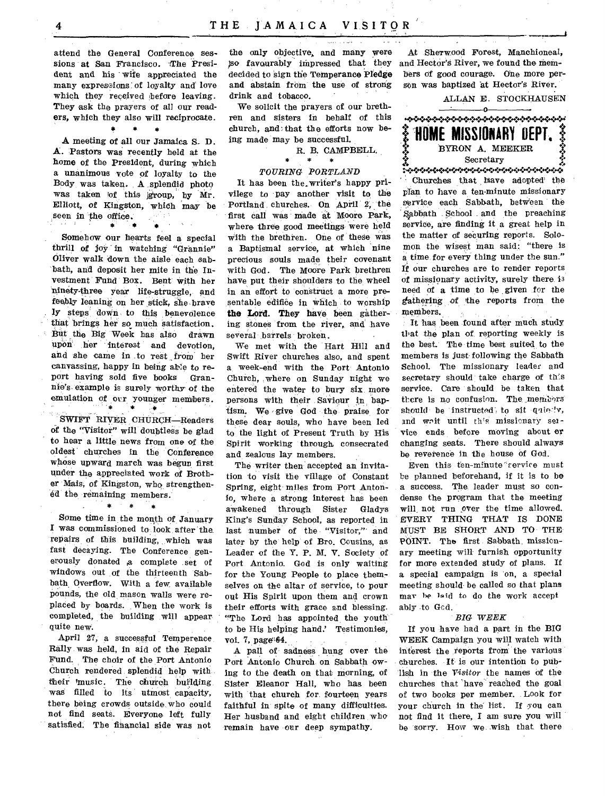attend the General Conference sessions at San Francisco. The President and his wife appreciated the many expressions: of loyalty and love which they received before leaving. They ask the prayers of all our readers, which they also will reciprocate.

\* \*

*A* meeting of all our Jamaica 5: D. A. PastOrs was recently held at the home of the President, during which a unanimous vote of loyalty to the Body was taken. A splendid photo was taken !of this Jgroup, by Mr. Elliott, of Kingston, which may be seen in the office.

Somehow our hearts feel a special thrill of joy in watching "Grannie" Oliver walk down the aisle each sabbath, and deposit her mite in the Investment' Fund' Box. Bent" with her ninety-three Year life-struggle, and feebly leaning on her stick, she brave **4,** steps: down. to this benevolence that brings her so much satisfaction.<br>But the Big Week has also drawn But the Big Week has also upon her interest and devotion. and she came in to rest from her canvassing, happy in being able to report having sold five books Grannie's example is surely worthy of the emulation of our younger members.

SWIFT RIVER CHURCH-Readers Of the "Visitor" will doubtlees be glad to hear a little news from one of the oldest churches in the Conference whose upward march was begun first under the appreciated work of Brother Mais, of Kingston, who strengthened the remaining members.

\* \* \* Some time in the month of January I was commissioned to. look after 'the. repairs of this building, which was fast decaying. The Conference generously donated a complete set of windows out of the thirteenth Sabbath Overflow. With a few available Pounds, the old mason walls were replaced by boards. When the work is completed, the building will appear quite new.

April 27, a successful Temperance Rally . was held, in aid of the Repair Fund. The choir of the Port Antonio Church rendered splendid help with. their 'music. The church building was filled to its utmost capacity, there being crowds outside, who could not find seats. Everyone left fully satisfied. The financial side was not

;so favourably impressed that they and Hector's River, we found the memdecided to sign the Temperance Pledge and abstain from the use of strong drink and tobacco.

We solicit the prayers of our brethren and sisters in behalf of this church, and that the efforts now being made may be successful.

> R. B. CAMPBELL. *\* \* \**

#### *TOURING PORTLAND*

It has been the, writer's happy privilege to pay another visit to the Portland churches. On April 2, the first call was made at Moore Park, where three good meetings were held with the brethren. One of these was a Baptismal service, at which nine precious souls made their covenant with God. The Moore Park brethren have put their shoulders to the wheel in an effort to construct a more presentable edifice in which to worship the Lord. They have been gathering stones from the river, and have several barrels broken.

We met with the Hart Hill and Swift River churches also, and spent a week-end with the Port Antonio Church, where on Sunday night we entered the water to bury six more persons with their Saviour in baptism. We give God the praise for these dear souls, who have been led to the light of Present Truth by His Spirit working through consecrated and zealous lay members.

The writer then' accepted an invitation to visit the village of Constant Spring, eight miles from Port Antonio, where a strong interest has been aWakened through Sister Gladys King's Sunday School, as reported in last number of the "Visitor," and later by the' help of Bro. Cousins, as Leader of the Y. P. M. V. Society of Port Antonio. God is only waiting for the Young People to place themselves on the altar of service, to pour out His Spirit upon them and crown their efforts with grace and blessing. "The Lord has appointed the youth to be His helping hand.' Testimonies, voi. 7, page<sup> $464$ </sup>.

A pall of sadness hung over the Part Antonio Church on Sabbath owing to the death on that morning, of Sister Eleanor Hall, who has been with that church for fourteen years faithful in spite of many difficulties. Her husband and eight children who remain have our deep sympathy,

the only objective, and many were At Sherwood Forest, Manchioneal, hers of good courage. One more per-SOn was baptized at Hector's River.

ALLAN E. STOCKHAUSEN



Churches that have adopted' the Plan to have a ten-minute missionary service each Sabbath, betWeen the Siabbath School . and the preaching service, are finding it a great help in the matter of securing reports. Solomon the wisest man said: "there is a time for every thing under the sun." If our churches are to render reports of missionary activity, surely there, 13 need of a time to be given for the gathering of the reports from the members.

It has been found after much study that the plan of reporting weekly is the best.' The time best suited, to the members is just- following the Sabbath School. The missionary leader and secretary should take charge of this service. Care should be taken that there is no confusion. The members should be instructed to sit quiety, and writ until this missionary service ends before moving about er changing seats. There should always be reverence in the house of God.

Even this ten-minute "service must be planned beforehand, if it is to be a success. The, leader must so condense the program that the meeting will not run over the time allowed, EVERY THING THAT IS DONE MUST BE SHORT AND TO THE POINT. The first Sabbath missionary meeting will- furnish opportunity for more extended study of plans. If a special campaign is 'on, a special meeting should- be called so that plans mar he laid to do the work accept ably -to God.

#### *BIG WEEK*

If you have had a part in the BIG WEEK Campaign you will watch with interest the reports from the various churches. It is our intention to publish in the *Visitor* the names of the churches that have reached the goal of two books per member. Look for your church in the list. If you can not find it there, I am sure you will be sorry. How we wish that there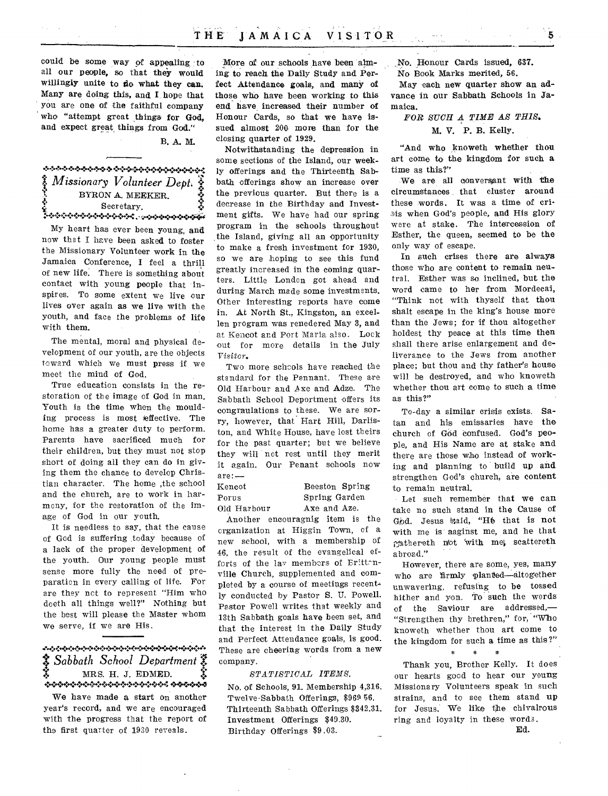**could be some way of appealing to all our people, so that they would willingly unite to do what they can. Many are doing this, and I hope that you are one of the faithful company who "attempt great things for God, and expect great things from God."** 

**B. A. M.** 

1 : *Missionary Volunteer Dept. 3: .* **BYRON A. MEEKER.**  Secretary.  $\ddot{\ddot{\psi}}$  . •  $\ddot{\psi}$  :  $\ddot{\psi}$  :  $\ddot{\psi}$  :  $\ddot{\psi}$  ,  $\ddot{\psi}$  ,  $\ddot{\psi}$  ,  $\ddot{\psi}$  ,  $\ddot{\psi}$  ,  $\ddot{\psi}$  ,  $\ddot{\psi}$ 

My heart has ever been young, **and**  now that I have **been asked to foster**  the Missionary Volunteer work in the Jamaica Conference, **I feel a** thrill of new life. There is something about contact with young people that inspires. To some extent we live our lives over **again as we live with the youth, and** face the problems of life with them.

The mental, moral and physical development of our youth, are the objects toward which we must press if we meet the mind of God.

True education consists in the restoration of the image of God in man. Youth is the time when the moulding process is most effective. The home has a greater duty to perform. Parents have sacrificed much for their children, **but they must** not stop short of doing all they can do in giving them the chance to develop Christian character. The home ,the school and the church, are to work in harmony, for the restoration of the image of God in our youth.

It is needless to say, that the cause of God is suffering today because of a lack of the proper development of the youth. Our young people must sense more fully the need of preparation in every calling of life. For are they not to represent "Him who doeth all things well?" Nothing but the best will please the Master whom we serve, if we are His.

#### ૱૱૱ૡઌ૱૱૱૱૱૱૱૱૱૱૱૱૱૱૱૱૱૱૱ *t Sabbath School Department •*  4• . MRS. **H. J. EDMED. •:+4••:•+•:••:•••••::•••:+•:••:•••:...:••:»:•.» 1•4••:••):-.1**

**We have made a start on another year's record, and we are encouraged with the progress that the report of**  the first quarter of 1930 reveals.

More **of our schools have been aiming to reach the Daily Study and Perfect Attendance goals, and many of those who have been working to this end have increased their number of Honour Cards, so that we have issued almost 200 more than for the closing quarter of 1929.** 

**Notwithstanding the depression in**  some sections of the Island, our weekly offerings and the Thirteenth Sabbath offerings show an increase over the previous quarter. But there is a decrease in the Birthday and Investment gifts. We have had our spring program in the schools throughout the Island, giving all an opportunity to make a fresh investment for 1930, so we are hoping to see this fund greatly increased in the coming quarters. Little London got ahead and during March made some investments. Other interesting reports have come in. At North St., Kingston, an excellen program was renedered May 3, and at Kencot and Port Maria also. Lock out **for** more details in the July *Visitor.* 

Two more schools have reached the standard for the Pennant. These are Old Harbour and Axe and Adze. The Sabbath School Deportment offers its congraulations to these. We are sorry, however, that Hart Hill, Darliston, and White House, have lost theirs for the past quarter; but we believe they will not rest until they merit it again. Our Penant schools now are:—

Kencot Beeston Spring

Porus Spring Garden Old Harbour Axe and Aze.

Another encouragnig item is the organization at Higgin Town, of a new school, with a membership of 46, the result of the evangelical efforts of the lav members of Erittenville Church, supplemented and completed by a course of meetings recently conducted by Pastor S. U. Powell. Pastor Powell writes that weekly and 13th Sabbath goals have been set, and that the interest in the Daily Study and Perfect Attendance goals, is good. These are cheering words from a new company.

#### *STATISTICAL ITEMS.*

**No. of Schools, 91. Membership 4,316. Twelve-Sabbath Offerings, \$969 56. Thirteenth Sabbath Offerings \$342.31. Investment Offerings** \$49.30. Birthday Offerings **\$9.03.** 

**No, Honour Cards issued, 637.** 

**No Book Marks merited, 56.** 

**May each new quarter show an advance in our Sabbath Schools in Jamaica.** 

#### *FOR SUCH A TIME AS THIS.*  **M. V. P. B. Kelly.**

**"And who knoweth whether thou art come to the kingdom for such a time as this?"** 

We are all conversant with the **circumstances that cluster around these words. It was a time of crisis when God's people, and His glory**  were **at stake. The intercession of Esther, the queen, seemed to be the**  only way of escape.

In such **crises there are always those who are** content to **remain neutral.** Esther was **so, inclined, but the**  word came to her **from Mordecai, "Think not with thyself that thou shalt escape in the king's house more than the Jews; for if thou altogether**  holdest thy peace at this time then shall there arise enlargement and deliverance to the Jews from another place; but thou and thy **father's house will** be destroyed, and who knoweth whether thou art come to **such a time**  as this?"

To-day a similar crisis exists. **Satan** and his emissaries **have the**  church of God confused. **God's people, and His Name are at stake and there are those** who instead of working and planning to build up and strengthen God's church, are content to remain neutral.

Let such remember that we can take no such stand in the Cause of God. Jesus Isaid, "H6 that is not with me is aaginst me, and he that Pathereth not 'with me, scattereth abroad."

However, there are **some, yes, many**  who are firmly planted—altogether unwavering, refusing to be **tossed**  hither and yon. To such the words of the Saviour are addressed,— "Strengthen thy brethren," for, "Who knoweth whether thou art come to the kingdom for such a time as this?"

Thank you, Brother Kelly. It does our hearts good to hear our young Missionary Volunteers speak in such strains, and to see them stand up for Jesus. We like the chivalrous ring and loyalty in these words.

 $\star$  $\rightarrow$ 

 $\mathcal{H}$ 

**Ed.**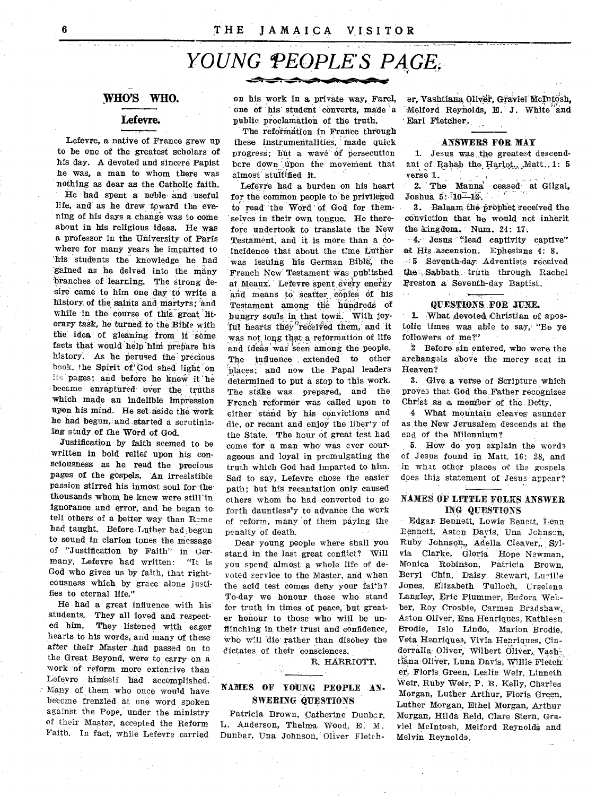# *YOUNG PEOPLE'S PAGE.*

### **WHO'S WHO.**

### **Lefevre.**

Lefevre, a native of France grew up to be One of the greatest scholars of his day. A devoted and sincere Papist he was, a man to whom there was nothing as dear as the Catholic faith. He had spent a noble and useful life, and as he drew toward the evening of his days a change was to come about in his religious ideas. He was a professor in the University of Paris where for many years he imparted' to `his students the knowledge he had gained as he delved into the many branches of learning. The strong desire came to him one day to write a history of the saints and martyrs; and while in the course of this great literary task, he turned to the Bible with the idea of gleaning from it some facts that would help him prepare his history. As he perused the precious book, the Spirit of God shed light on its pages; and before he knew it he became enraptured over the truths which made an indelible impression upon his mind. He set aside the work he had begun, and started a scrutinizing study. of the Word of God.

Justification by faith seemed to be written in bold relief upon his consciousness as he read the precious pages of the gospels. An irresistible passion stirred his inmost soul for -the' thousands whom, he knew were still-in ignorance and error, and he began to tell others of a better way than Rame had taught. Before Luther had begun to sound in clarion tones the message of "Justification by Faith" in Germany, Lefevre had written: "It is God who gives us by faith, that righteousness which by grace alone justifies to eternal life."

He had a great influence with his' students. They all loved and, respected him. They listened with eager hearts to his words, and many of these after their Master ,had passed on to the Great Beyond, were to carry on a work of reform more extensive than Lefevre himself had accomplished. Many of them who once would have become frenzied at one word spoken against the Pope, under the ministry of their Master, accepted the Reform Faith. In fact, while Lefevre carried

on his work in a private way, Farel, one of his student converts, made 'a public proclamation of the truth.

The reformation in France through these instrumentalities, made quick progress; but a wave of persecution bore down upon the movement that almost stultified it.

Lefevre had, a burden on his heart for the common people to be privileged to read the Word of God for themselves in their own tongue. He therefore undertook to translate the New Testament, and it is more than a coincidence that about the time Luther was issuing his German Bible, the French New Testament was published at Meaux. Lefevre spent every energy and means to scatter copies of his Testament among the hundreds of hungry souls in that town. With joyful hearts they received them, and it was not long that a reformation of life and ideas was seen among the people. The influence , extended to other places; and now the Papal leaders determined to put a stop to this work. The stake was prepared, and the French reformer was called upon to either stand by his convictions and die, or recant and enjoy the liber'y of the State. The hour of great test had come for a man who was ever courageous and loyal in promulgating the truth which God had imparted to him. Sad to say, Lefevre chose the easier path; but his recantation only caused others whom he had converted to go forth dauntless'y to advance the work of reform, many of them paying the penalty of death.

Dear young people where Shall you stand in the last great conflict? Will you spend almost a whole life of devoted service to the Master, and when the acid test comes deny your faith? To-day we honour those who stand for truth in times of peace, but greater honour to those who will be unflinching in their trust and confidence, Who will die rather than disobey the dictates of their consciences.

R. HARRIOTT.

#### NAMES OF YOUNG PEOPLE AN-SWERING QUESTIONS

Patricia Brown, Catherine Dunbar, L. Anderson, Thelma Wood, E. M. Dunbar, Una Johnson, Oliver Fletch-

er, Vashtiana Oliver, Graviel McIntosh, Melford Reynolds, E. J. White'and Earl Fletcher.

#### •ANSWERS FOR MAY

1. Jesus was-the greatest descendant of Rahab the Harlot Matt., 1: 5 verse 1.

2. The Manna ceased at Gilgal, Joshua 5:  $10-12$ .

3. Balaam the prophet received the Conviction that he would not inherit the kingdom: Num.  $24:17$ .

.4. Jesus "lead captivity captive" at His ascension. Ephesians 4: 8. • ' ^ 5 Seventh-day Adventists received the; Sabbath, truth through Rachel Preston a' Seventh-day Baptist.

#### QUESTIONS FOR JUNE.

1. What devoted Christian of apostolic times was able to say, "Be ye folloWers of me?"

2 Before sin entered, who were the archangels aboVe the mercy seat in Heaven?

3. Give. a verse of Scripture which proVes that God the Father recognizes Christ as a member of the Deity.

4 What mountain cleaves asunder as the New Jerusalem descends at the end of the Milennium?

5. How do you explain the wordsof Jesus found in Matt. 16: 28, and in what other places of the gespels does this statement of Jesus appear?

#### NAMES OF LITTLE FOLKS ANSWER ING QUESTIONS

• Edgar. Bennett, Lowie.Benett, Lenn Bennett, Aston. Davis, 'Una Johnsen, Ruby Johnson,, Adella Cleaver,, Sylvia Clarke, Gloria Hope Newman, Monica Robinson, Patricia Brown, Beryl Chin, Daisy Stewart, Lucille Jones, Elizabeth Tulloch, Urselena Langley, Erie Plummer, Eudora Weber, Roy Crosbie, Carmen Bradshaw, Aston Oliver, Ena Henriques, Kathleen Brodie, Islo Linde, Marion Brodie, Veta Henriques, Vivia Henriques, Cinderralla Oliver, Wilbert Oliver, Vashtiana Oliver, Luna Davis, Willie Fletch er, Floris Green, Leslie Weir, Linneth Weir, Ruby Weir, P. B. Kelly, Charles Morgan, Luther Arthur, Floris Green, Luther Morgan, Ethel Morgan, Arthur-Morgan, Hilda Reid, Clare Stern, Graviel McIntosh, Melford Reynolds and Melvin Reynolds.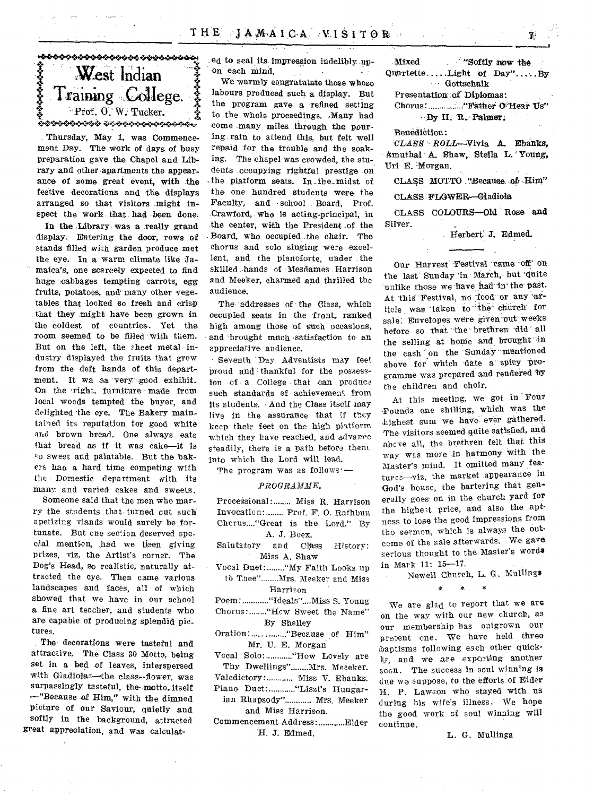

Thursday, May 1, was Commencement Day. The work of days of busy preparation gave the Chapel and Library and other-apartments the appearance of some great event, with the festive decorations and the displays arranged so that visitors might inspect the work that had been done.

In the -Library was a really grand display. Entering the door, rows of stands filled with garden produce met the eye. In a warm climate like Jamaica's, one scarcely expected to find huge cabbages tempting carrots, egg fruits, potatoes, and' many other vegetables that looked so fresh and crisp that they might have been grown in the coldest of countries. Yet the room seemed to be filled with them. But on the left, the sheet metal industry displayed the fruits that grow from the deft hands of this department. It wa sa very good exhibit. On the right, furniture made from local woods tempted the buyer, and delighted 'the eye. The Bakery maintained its reputation for good white and brown bread. One always eats that bread as if it was cake—it is ao sweet and palatable. But the bakers had a hard time competing with tile Domestic department with its many and varied cakes and sweets.

Someone said that the men who marry the strdents that turned out such apetizing viands would surely be fortunate. But one section deserved special mention, had we lieen giving prizes, viz, the Artist's corner. The Dog's Head, so realistic, naturally attracted the eye. Then came various landscapes and faces, all of which showed that we have in our school a fine art teacher, and students who are capable of producing splendid pictures.

The decorations were tasteful and attractive. The Class 30 Motto, being set in a bed of leaves, interspersed with Gladiolas—the class—flower, was surpassingly tasteful, the motto itself —"Because of Him," with the dimned picture of our Saviour, quietly and softly in the background, attracted great appreciation, and was calculatea to seal its. impression indelibly upon each mind.  $\sim$  $\sim$   $\sim$ 

We warmly congratulate those whose labours produced such a display. But the program gave a refined setting to the whole proceedings. Many had come many miles through the pouring rain to attend this, but felt well repaid for the trouble and the soaking. The chapel- was crowded, the students occupying rightful prestige -on the platform seats. In the midst of the one hundred students were the Faculty, and school Board, Prof. \_Crawford, who is acting-principal, in the center, with the President \_of the Board, who occupied the chair. The chorus and solo singing were excellent, and the pianoforte, under the ekilled. hands of Mesdames Harrison and Meeker, charmed and thrilled the audience.

The addresses of the Class, which occupied seats in the front, ranked high among those of such occasions, and brought much :satisfaction to an appreciative audience.

Seventh Day Adventists may feet proud and thankful for the possession of a College that ean produce such standards of achievement from its students. • And the Class itself may live in the assurance that if they keep their feet on the high platform which they have reached, and advaree steadily, there is a path before them. into which the Lord will lead.

The program was as follows :-

#### *PROGRAMME.*

Precessional :........ Miss R. Harrison Invocation: ........ Prof. F. O. Rathbun Chorus...."Great is the Lord." By A. J. Boex.

Salutatory and Class History: Miss A. Shaw

- Vocal Duet: ........ "My Faith Looks up to Thee"........Mrs. Meeker and Miss Harrison
- Poem: ............ "Ideals".... Miss S. Young
- Chorus: ........ "How Sweet the Name"

By Shelley

- Oration:.............."Because of Him" Mr, U. E. Morgan
- Vocal Solo: ............ "How Lovely are
- Thy Dwellings"........Mrs. Meeeker. Valedictory: ............ Miss V. Ebanks.
- Piano Duet: ............ "Liszt's Hungar-
- ian Rhapsody"............ Mrs. Meeker and Miss Harrison.
- Commencement Address: ...............Elder H. J. Edmed.

Mixed "Softly now the Quartette ... . Light of  $Day''.$ ... . By Gottschalk

Presentation of Diplomas: Chorus: ................. "Father O Hear Us" By H. R. Palmer.

Benedittion:

*CLAS'S* ROLL—Vivia A. Ebanks, Amuthal A. Shaw, Stella L. Young, Uri E. Morgan.

CLASS MOTTO ."Because of Him"

CLASS FLOWER—Gladiola

CLASS COLOURS—Old Rose and Silver.

Herbert J. Edmed.

Our Harvest Festival came off on the last Sunday in March, but 'quite unlike those we have had in the past. At this Festival, no food or any article was taken to the church for sale. Envelopes were given out weeks before so that the brethren did all the selling at home and brought in the cash 'on the Sunday'-mentioned above for which date a spicy programme was prepared and rendered by the children and choir.

At this meeting, we got in Four Pounds one shilling, which was the highest sum we have ever gathered. The visitors seemed quite satisfied, and above all, the brethren felt that this way was more in harmony with the Master's mind. It omitted many features—viz, the market appearance in God's house, the bartering that generally goes on in the church yard for the highest price, and also the aptness to lose the good impressions from the sermon, which is always the outcome of the sale afterwards. We gave serious thought to the Master's words in Mark 11: 15-17.

Newell Church, L. G. Mulling\*

\* \* \*

We are glad to report that we are on the way with our new church, as our membership has outgrown our precent one. We have held three baptisms following each other quickly, and we are exposting another soon. The success in soul winning is due we suppose, to the efforts of Elder H. P. Lawson who stayed with us during his wife's illness. We hope the good work of soul winning will continue.

L. G. Mullings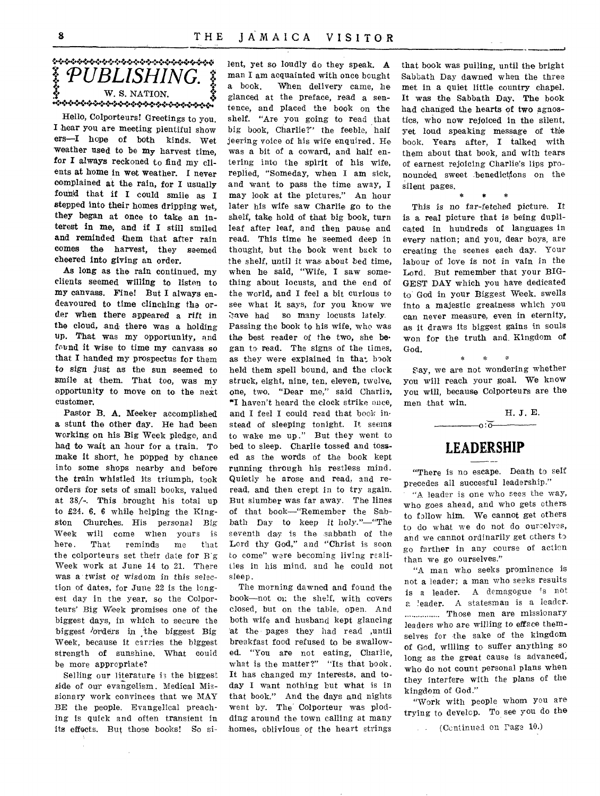

Hello, Colporteurs! Greetings to you. I hear you are meeting plentiful show ers—I hope of both kinds. Wet weather used to be my harvest time, for I always reckoned to find my clients at home in wet weather. I never complained at the rain, for I usually found that if I could smile as I stepped into their homes dripping wet, they began at once to take an interest in me, and if I still smiled and reminded them that after rain comes the harvest, they seemed cheered into giving an order.

As long as the rain continued, my clients seemed willing to listen to my canvass. Fine! But I always endeavoured to time clinching the order when there appeared a rift in the cloud, and there was a holding up. That was my opportunity, and found it wise to time my canvass so that I handed my prospectus for them to sign just as the sun seemed to smile at them. That too, was my opportunity to move on to the next customer.

Pastor B. A. Meeker accomplished a stunt the other day. He had been working on his Big Week pledge, and had to wait an hour for a train. To make it short, he popped by chance into some shops nearby and before the train whistled its triumph, took orders for sets of small books, valued at 38/-. This brought his total up to £24. 6. 6 while helping the Kingston Churches. His personal Big<br>Week will come when yours is Week will come when yours is<br>here. That reminds me that reminds me the colporteurs set their date for B g Week work at June 14 to 21. There was a *twist* of wisdom in this selection of dates, for June 22 is the longest day in the year, so the Colportears' Big Week promises one of the biggest days, in which to secure the biggest *lorders* in the biggest Big Week, because it carries the biggest strength of sunshine. What could be more appropriate?

Selling our literature is the biggest side of our evangelism. Medical Missionary work convinces that we MAY BE the people. Evangelical preaching is quick and often transient in its effects. But those books! So silent, yet so loudly do they speak. A man I am acquainted with once bought a book. When delivery came, he glanced at the preface, read a sentence, and placed the book on the shelf. "Are you going to read that big book, Charlie?" the feeble, half jeering voice of his wife enquired. He was a bit of a coward, and half entering into the spirit of his wife, replied, "Someday, when I am sick, and want to pass the time away, I may look at the pictures." An hour later his wife saw Charlie go to the shelf, take hold of that big book, turn leaf after leaf, and then pause and read. This time he seemed deep in thought, but the book went back to the shelf, until it was about bed time, when he said, "Wife, I saw something about locusts, and the end of the world, and I feel a bit curious to see what it says, for you know we save had so many locusts lately. Passing the book to his wife, who was the best reader of the two, she began to read. The signs of the times, as they were explained in that book held them spell bound, and the clock struck, eight, nine, ten, eleven, twelve, one, two. "Dear me," said Charlie, "I haven't heard the clock strike once, and I feel I could read that book instead of sleeping tonight. It seems to wake me up." But they went to bed to sleep. Charlie tossed and tossed as the words of the book kept running through his restless mind. Quietly he arose and read, and reread, and then crept in to try again. But slumber was far away. The lines of that book—"Remember the Sabbath Day to keep it holy."—"The seventh day is the sabbath of the Lord thy God," and "Christ is soon to come" ware becoming living realities in his mind, and he could not sleep.

The morning dawned and found the book—not 011 the shelf, with covers closed, but on the table, open. And both wife and husband kept glancing at the pages they had read ,until breakfast food refused to be swallowed. "You are not eating, Charlie, what is the matter?" "Its that book. It has changed my interests, and today I want nothing but what is in that book." And the days and nights went by. The Colporteur was plodding around the town calling at many homes, oblivious of the heart strings

that book was pulling, until the bright Sabbath Day dawned when the three met in a quiet little country chapel. It was the Sabbath Day. The book had changed the hearts of two agnostics, who now rejoiced in the silent, yet loud speaking message of the book. Years after, I talked with them about that book, and with tears of earnest rejoicing Charlie's lips pronounded sweet 'benedictions on the silent pages.

 $\mathbf{x}$ 

This is no far-fetched picture. It is a real picture that is being duplicated in hundreds of languages in every nation; and you, dear boys, are creating the scenes each day. Your labour of love is not in vain in the Lord. But remember that your BIG-GEST DAY which you have dedicated to God in your Biggest Week. swells into a majestic greatness which you can never measure, even in eternity, as it draws its biggest gains in souls won for the truth and. Kingdom of God.

Say, we are not wondering whether you will reach your goal. We know You will, because Colporteurs are the men that win.

 $\mathbf{R}$ 

 $\mathcal{R}$ 

H. J. E.

## **LEADERSHIP**

 $-0:0-$ 

"There is no escape. Death to self precedes all succesful leadership."

"A leader is one who sees the way, who goes ahead, and who gets others to follow him. We cannot get others to do what we do not do ourselves, and we cannot ordinarily get others to go farther in any course of action than we go ourselves."

"A man who seeks prominence is not a leader; a man who seeks results is a leader. A demagogue 's not a leader. A statesman is a leader. ............... Those men are missionary leaders who are willing to efface themselves for the sake of the kingdom of God, willing to suffer anything so long as the great cause is advanced, who do not count personal plans when they interfere with the plans of the kingdom of God."

"Work with people whom you are trying to develop. To see you do the

 $\therefore$  (Centinued on Page 10.)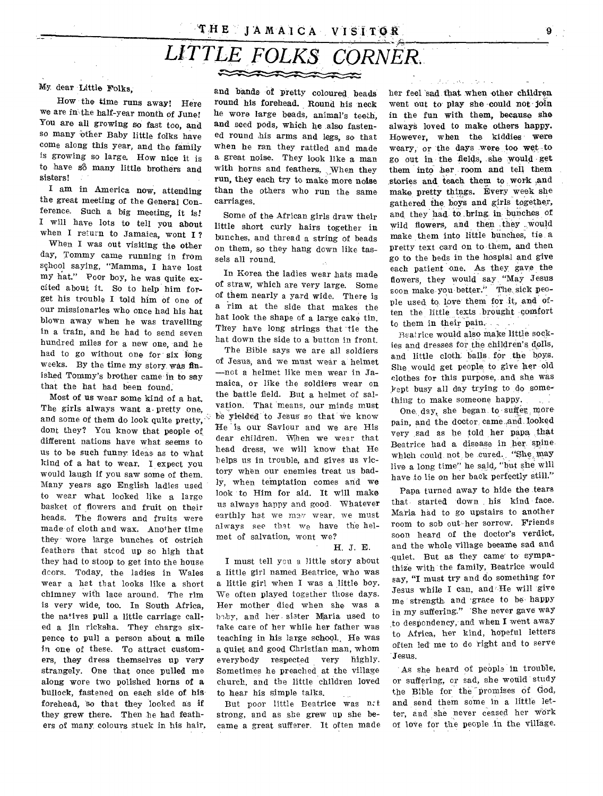#### $\mathbf{T} \times \mathbf{H}$   $\mathbf{E}$  of  $\mathbf{J}$  A  $\mathbf{M}$  A  $\mathbf{I}$  C  $\mathbf{A}$  ,  $\mathbf{V}$   $\mathbf{T}$  S  $\mathbf{I}$  T O  $\mathbf{R}$

# *LITTLE FOLKS CORNER.*

#### My dear Little Folks,

How the time runs away! Here we are in the half-year month of June! You are all growing so fast too, and so many other Baby little folks have come along this year, and the family is growing so large. How nice it is to have so many little brothers and sisters!

I am in America now, attending the great meeting of the General Conference. Such a big meeting, it is! I will have lots to tell you about when I return to Jamaica, wont I ?

When I was out visiting the other day, Tommy came running in from school saying, "Mamma, I have lost my hat." Poor boy, he was quite excited about it. So to help him forget his trouble I told him of one of our missionaries who once had his hat blown away when he was travelling in a train, and he had to send seven hundred miles for a new one, and he had to go without one for six long weeks. By the time my story, was finished Tommy's brother came in to say that the hat had been found.

Most of us wear some kind of a hat. The girls always want a pretty one, and some of them do look quite pretty, dont they? You know that people of, different nations have what seems to us to be such funny ideas as to what kind of a hat to wear. I expect you would laugh if you saw some of them. Many years ago English ladies used to wear what looked like a large basket of flowers and fruit on their heads. The flowers and fruits were made of cloth and wax. Another time they wore large bunches of ostrich feathers that stood up so high that they had to stoop to get into the house doors. Today, the ladies in Wales wear a hat that looks like a short chimney with lace around. The rim is very wide, too. In South Africa, the natives pull a little carriage called a jin ricksha. They charge sixpence to pull a person about a mile in one of these. To attract customers, they dress themselves up very strangely. One that once pulled me along wore two polished horns of a bullock, fastened on each side of his forehead, 'so that they looked as if they grew there. Then he had feathers of many colours stuck in his hair,

and bands of pretty coloured beads round his forehead. Round his neck he wore large beads, animal's teeth, and seed pods, which he also fastened round his arms and legs, so that when he ran they rattled and made a great noise. They look like a man with horns and feathers. When they run, they each try to make more noise than the others who run the same carriages.

Some of the African girls draw their little short curly hairs together in bunches, and thread a string of beads on them, so they hang down like tassels all round.

In Korea the ladies wear hats made of straw, which are very large. Some of them nearly a yard wide. There is a rim at the side that makes the hat look the shape of a large cake tin. They have long strings that 'tie the hat down the side to a button in front.

The Bible says we are all soldiers of Jesus, and we must wear a helmet —not a helmet like men wear in Jamaica, or like the soldiers wear on the battle field. But a helmet of salvation. That means, our minds must be yielded to Jesus so that we know He is our Saviour and we are His dear children. when we wear that head dress, we will know that He helps us in trouble, and gives us victory when our enemies treat us badly, when temptation comes and we look to Him for aid. It will make us always happy and good. Whatever earthly hat we may wear, we must always see that we have the helmet of salvation, wont we?

#### H. J. E.

I must tell you a little story about a little girl named Beatrice, who was a little girl when I was a little boy. We often played together those days. Her mother died when she was a bahy, and her sister Maria used to take care of her while her father was teaching in his large school. He was a quiet and good Christian man, whom everybody respected very highly. Sometimes he preached at the village church, and the little children loved to hear his simple talks.

But poor little Beatrice was net strong, and as she grew up she became a great sufferer. It often made

#### $\mathcal{F}_\sigma \mathcal{L} \subset \mathcal{O}(\mathcal{E}^{\mathcal{C}})$  , to be a

her feel sad that when other children went out to play she could not join in the fun with them, because she always loved to make others happy. However, when the kiddies were weary, or the days were too wet to go out in the fields, she would get them into her . room and tell them stories and teach them to work and make pretty things. Every week she gathered the, boys and girls together, and they had to bring in bunches of wild flowers, and then they would make them into little bunches, tie a pretty text card on to them, and then go to the beds in the hospial and give each patient one. As they gave the flowers, they would say. "May Jesus soon make-you better." The sick people used to love them for it, and often the little texts brought comfort to them in their pain...

Beatrice would also make little socktes and dresses for the children's dolls, and little cloth: balls, for the boys. She would get people to give her old clothes for this purpose,.and she was kept busy all day trying to do something to make someone happy.

One. day, she began to suffer more pain, and the doctor came and looked very sad as he told her papa .that Beatrice had a disease in her spine which could not be cured., "She may live a long time" he said, "but she will have to lie on her back perfectly still."

Papa turned away to hide the tears that started "down , his kind face. Maria had to go upstairs to another room to sob out-her sorrow. Friends soon heard of the doctor's verdict, and the whole village became sad and quiet. But as they came to sympathize with the family, Beatrice would say, "I must try and do something for Jesus while I can, and He will give me strength and 'grace to be happy in my suffering." She never gave way to despondency, and when I went away to Africa, her kind, hopeful letters often led' me to do 'right and to serve 'Jesus.

As she heard of people in trouble, or suffering, cr sad, she would' study the Bible for the promises of God, and send them some in a little letter, and she never ceased her work of loVe for the people in the village.